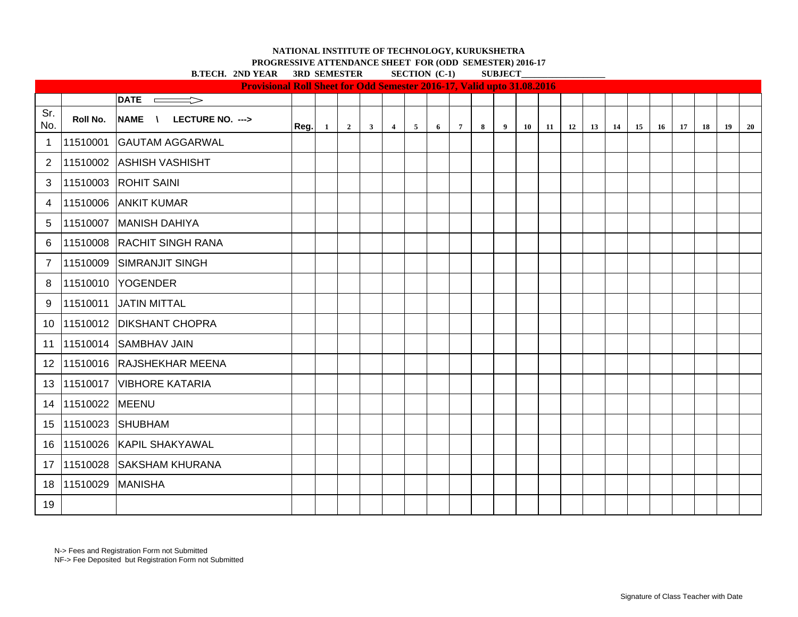**PROGRESSIVE ATTENDANCE SHEET FOR (ODD SEMESTER) 2016-17**

|                |          | <b>B.TECH. 2ND YEAR</b>                                                       | <b>3RD SEMESTER</b> |              |                         |              |                | <b>SECTION</b> (C-1) |   |                |   | <b>SUBJECT</b> |    |    |    |    |    |    |    |    |    |    |    |
|----------------|----------|-------------------------------------------------------------------------------|---------------------|--------------|-------------------------|--------------|----------------|----------------------|---|----------------|---|----------------|----|----|----|----|----|----|----|----|----|----|----|
|                |          | <b>Provisional Roll Sheet for Odd Semester 2016-17, Valid upto 31.08.2016</b> |                     |              |                         |              |                |                      |   |                |   |                |    |    |    |    |    |    |    |    |    |    |    |
|                |          | <b>DATE</b><br>$\Rightarrow$                                                  |                     |              |                         |              |                |                      |   |                |   |                |    |    |    |    |    |    |    |    |    |    |    |
| Sr.<br>No.     | Roll No. | <b>NAME</b><br>$\sqrt{ }$<br>LECTURE NO. --->                                 | Reg.                | $\mathbf{1}$ | $\overline{\mathbf{2}}$ | $\mathbf{3}$ | $\overline{4}$ | 5 <sub>5</sub>       | 6 | $\overline{7}$ | 8 | 9              | 10 | 11 | 12 | 13 | 14 | 15 | 16 | 17 | 18 | 19 | 20 |
| $\mathbf 1$    | 11510001 | <b>GAUTAM AGGARWAL</b>                                                        |                     |              |                         |              |                |                      |   |                |   |                |    |    |    |    |    |    |    |    |    |    |    |
| $\overline{2}$ | 11510002 | <b>ASHISH VASHISHT</b>                                                        |                     |              |                         |              |                |                      |   |                |   |                |    |    |    |    |    |    |    |    |    |    |    |
| 3              |          | 11510003 ROHIT SAINI                                                          |                     |              |                         |              |                |                      |   |                |   |                |    |    |    |    |    |    |    |    |    |    |    |
| 4              | 11510006 | <b>ANKIT KUMAR</b>                                                            |                     |              |                         |              |                |                      |   |                |   |                |    |    |    |    |    |    |    |    |    |    |    |
| 5              |          | 11510007 MANISH DAHIYA                                                        |                     |              |                         |              |                |                      |   |                |   |                |    |    |    |    |    |    |    |    |    |    |    |
| 6              |          | 11510008 RACHIT SINGH RANA                                                    |                     |              |                         |              |                |                      |   |                |   |                |    |    |    |    |    |    |    |    |    |    |    |
| $\overline{7}$ | 11510009 | <b>SIMRANJIT SINGH</b>                                                        |                     |              |                         |              |                |                      |   |                |   |                |    |    |    |    |    |    |    |    |    |    |    |
| 8              |          | 11510010 YOGENDER                                                             |                     |              |                         |              |                |                      |   |                |   |                |    |    |    |    |    |    |    |    |    |    |    |
| 9              | 11510011 | <b>JATIN MITTAL</b>                                                           |                     |              |                         |              |                |                      |   |                |   |                |    |    |    |    |    |    |    |    |    |    |    |
| 10             |          | 11510012   DIKSHANT CHOPRA                                                    |                     |              |                         |              |                |                      |   |                |   |                |    |    |    |    |    |    |    |    |    |    |    |
| 11             |          | 11510014 SAMBHAV JAIN                                                         |                     |              |                         |              |                |                      |   |                |   |                |    |    |    |    |    |    |    |    |    |    |    |
| 12             |          | 11510016 RAJSHEKHAR MEENA                                                     |                     |              |                         |              |                |                      |   |                |   |                |    |    |    |    |    |    |    |    |    |    |    |
| 13             |          | 11510017   VIBHORE KATARIA                                                    |                     |              |                         |              |                |                      |   |                |   |                |    |    |    |    |    |    |    |    |    |    |    |
| 14             | 11510022 | <b>MEENU</b>                                                                  |                     |              |                         |              |                |                      |   |                |   |                |    |    |    |    |    |    |    |    |    |    |    |
| 15             | 11510023 | SHUBHAM                                                                       |                     |              |                         |              |                |                      |   |                |   |                |    |    |    |    |    |    |    |    |    |    |    |
| 16             |          | 11510026 KAPIL SHAKYAWAL                                                      |                     |              |                         |              |                |                      |   |                |   |                |    |    |    |    |    |    |    |    |    |    |    |
| 17             | 11510028 | <b>SAKSHAM KHURANA</b>                                                        |                     |              |                         |              |                |                      |   |                |   |                |    |    |    |    |    |    |    |    |    |    |    |
| 18             | 11510029 | <b>MANISHA</b>                                                                |                     |              |                         |              |                |                      |   |                |   |                |    |    |    |    |    |    |    |    |    |    |    |
| 19             |          |                                                                               |                     |              |                         |              |                |                      |   |                |   |                |    |    |    |    |    |    |    |    |    |    |    |

N-> Fees and Registration Form not Submitted

NF-> Fee Deposited but Registration Form not Submitted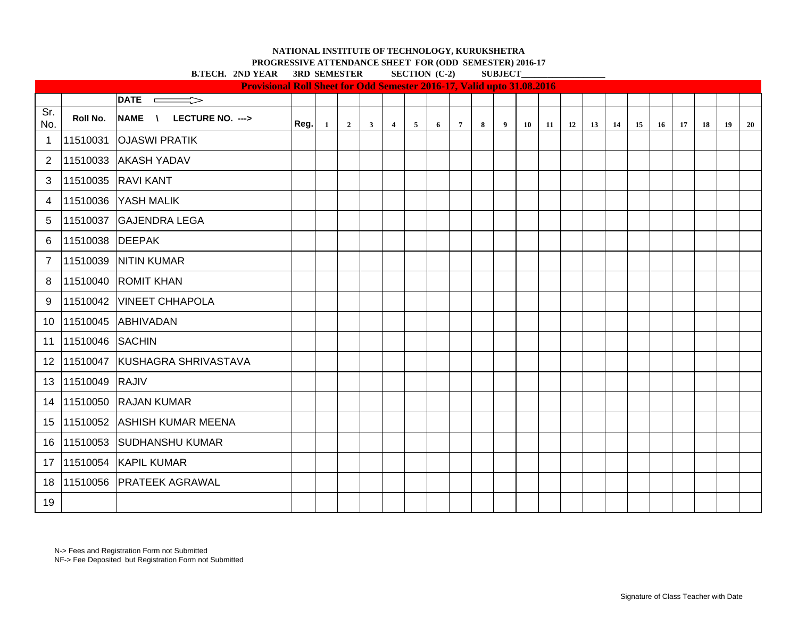|                |                 |                                                          | <b>B.TECH. 2ND YEAR 3RD SEMESTER</b><br><b>SECTION</b> (C-2)<br><b>SUBJECT</b><br><b>Provisional Roll Sheet for Odd Semester 2016-17, Valid upto 31.08.2016</b> |              |                |              |                |                 |   |                |   |   |    |    |    |    |    |    |    |    |    |    |    |
|----------------|-----------------|----------------------------------------------------------|-----------------------------------------------------------------------------------------------------------------------------------------------------------------|--------------|----------------|--------------|----------------|-----------------|---|----------------|---|---|----|----|----|----|----|----|----|----|----|----|----|
|                |                 |                                                          |                                                                                                                                                                 |              |                |              |                |                 |   |                |   |   |    |    |    |    |    |    |    |    |    |    |    |
|                |                 | <b>DATE</b><br>$\Rightarrow$<br>$\overline{\phantom{a}}$ |                                                                                                                                                                 |              |                |              |                |                 |   |                |   |   |    |    |    |    |    |    |    |    |    |    |    |
| Sr.<br>No.     | Roll No.        | <b>NAME</b><br>LECTURE NO. ---><br>$\mathcal{N}$         | Reg.                                                                                                                                                            | $\mathbf{1}$ | $\overline{2}$ | $\mathbf{3}$ | $\overline{4}$ | $5\overline{5}$ | 6 | $\overline{7}$ | 8 | 9 | 10 | 11 | 12 | 13 | 14 | 15 | 16 | 17 | 18 | 19 | 20 |
| $\mathbf 1$    |                 | 11510031 OJASWI PRATIK                                   |                                                                                                                                                                 |              |                |              |                |                 |   |                |   |   |    |    |    |    |    |    |    |    |    |    |    |
| $\overline{2}$ |                 | 11510033 AKASH YADAV                                     |                                                                                                                                                                 |              |                |              |                |                 |   |                |   |   |    |    |    |    |    |    |    |    |    |    |    |
| 3              |                 | 11510035 RAVI KANT                                       |                                                                                                                                                                 |              |                |              |                |                 |   |                |   |   |    |    |    |    |    |    |    |    |    |    |    |
| 4              |                 | 11510036 YASH MALIK                                      |                                                                                                                                                                 |              |                |              |                |                 |   |                |   |   |    |    |    |    |    |    |    |    |    |    |    |
| 5              |                 | 11510037 GAJENDRA LEGA                                   |                                                                                                                                                                 |              |                |              |                |                 |   |                |   |   |    |    |    |    |    |    |    |    |    |    |    |
| 6              | 11510038 DEEPAK |                                                          |                                                                                                                                                                 |              |                |              |                |                 |   |                |   |   |    |    |    |    |    |    |    |    |    |    |    |
| 7              |                 | 11510039 NITIN KUMAR                                     |                                                                                                                                                                 |              |                |              |                |                 |   |                |   |   |    |    |    |    |    |    |    |    |    |    |    |
| 8              |                 | 11510040 ROMIT KHAN                                      |                                                                                                                                                                 |              |                |              |                |                 |   |                |   |   |    |    |    |    |    |    |    |    |    |    |    |
| 9              |                 | 11510042   VINEET CHHAPOLA                               |                                                                                                                                                                 |              |                |              |                |                 |   |                |   |   |    |    |    |    |    |    |    |    |    |    |    |
| 10             |                 | 11510045 ABHIVADAN                                       |                                                                                                                                                                 |              |                |              |                |                 |   |                |   |   |    |    |    |    |    |    |    |    |    |    |    |
| 11             | 11510046 SACHIN |                                                          |                                                                                                                                                                 |              |                |              |                |                 |   |                |   |   |    |    |    |    |    |    |    |    |    |    |    |
| 12             |                 | 11510047 KUSHAGRA SHRIVASTAVA                            |                                                                                                                                                                 |              |                |              |                |                 |   |                |   |   |    |    |    |    |    |    |    |    |    |    |    |
| 13             | 11510049 RAJIV  |                                                          |                                                                                                                                                                 |              |                |              |                |                 |   |                |   |   |    |    |    |    |    |    |    |    |    |    |    |
| 14             |                 | 11510050 RAJAN KUMAR                                     |                                                                                                                                                                 |              |                |              |                |                 |   |                |   |   |    |    |    |    |    |    |    |    |    |    |    |
| 15             |                 | 11510052 ASHISH KUMAR MEENA                              |                                                                                                                                                                 |              |                |              |                |                 |   |                |   |   |    |    |    |    |    |    |    |    |    |    |    |
| 16             |                 | 11510053 SUDHANSHU KUMAR                                 |                                                                                                                                                                 |              |                |              |                |                 |   |                |   |   |    |    |    |    |    |    |    |    |    |    |    |
| 17             |                 | 11510054 KAPIL KUMAR                                     |                                                                                                                                                                 |              |                |              |                |                 |   |                |   |   |    |    |    |    |    |    |    |    |    |    |    |
| 18             |                 | 11510056 PRATEEK AGRAWAL                                 |                                                                                                                                                                 |              |                |              |                |                 |   |                |   |   |    |    |    |    |    |    |    |    |    |    |    |
| 19             |                 |                                                          |                                                                                                                                                                 |              |                |              |                |                 |   |                |   |   |    |    |    |    |    |    |    |    |    |    |    |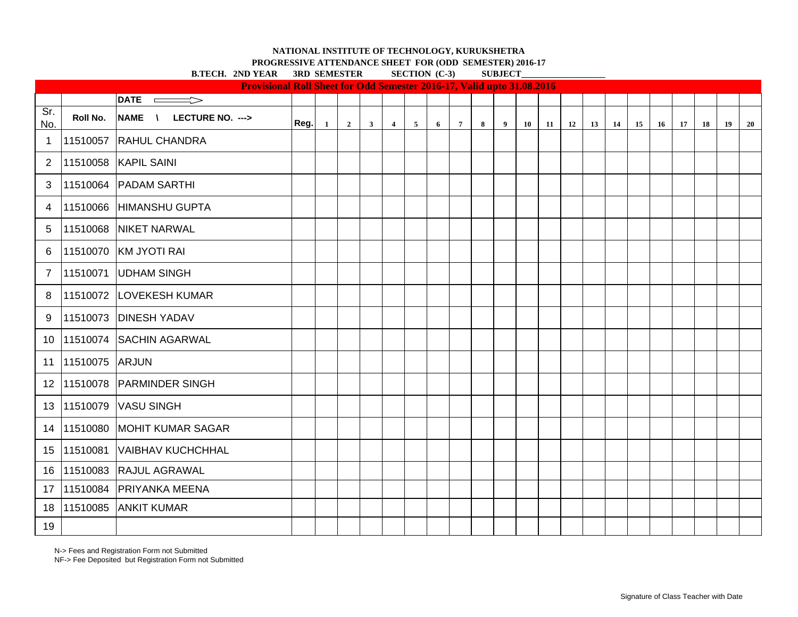**PROGRESSIVE ATTENDANCE SHEET FOR (ODD SEMESTER) 2016-17**

|                 |                | <b>B.TECH. 2ND YEAR 3RD SEMESTER</b>                                          |      |                |                         |              |                | <b>SECTION</b> (C-3) |   |                |   | <b>SUBJECT</b>          |    |    |    |    |    |    |    |    |    |    |    |
|-----------------|----------------|-------------------------------------------------------------------------------|------|----------------|-------------------------|--------------|----------------|----------------------|---|----------------|---|-------------------------|----|----|----|----|----|----|----|----|----|----|----|
|                 |                | <b>Provisional Roll Sheet for Odd Semester 2016-17, Valid upto 31.08.2016</b> |      |                |                         |              |                |                      |   |                |   |                         |    |    |    |    |    |    |    |    |    |    |    |
|                 |                | DATE —<br>$\Rightarrow$                                                       |      |                |                         |              |                |                      |   |                |   |                         |    |    |    |    |    |    |    |    |    |    |    |
| Sr.<br>No.      | Roll No.       | NAME \ LECTURE NO. --->                                                       | Reg. | $\blacksquare$ | $\overline{\mathbf{2}}$ | $\mathbf{3}$ | $\overline{4}$ | 5 <sub>5</sub>       | 6 | $\overline{7}$ | 8 | $\overline{\mathbf{9}}$ | 10 | 11 | 12 | 13 | 14 | 15 | 16 | 17 | 18 | 19 | 20 |
| $\mathbf{1}$    |                | 11510057 RAHUL CHANDRA                                                        |      |                |                         |              |                |                      |   |                |   |                         |    |    |    |    |    |    |    |    |    |    |    |
| $\overline{2}$  |                | 11510058 KAPIL SAINI                                                          |      |                |                         |              |                |                      |   |                |   |                         |    |    |    |    |    |    |    |    |    |    |    |
| 3               |                | 11510064 PADAM SARTHI                                                         |      |                |                         |              |                |                      |   |                |   |                         |    |    |    |    |    |    |    |    |    |    |    |
| 4               |                | 11510066 HIMANSHU GUPTA                                                       |      |                |                         |              |                |                      |   |                |   |                         |    |    |    |    |    |    |    |    |    |    |    |
| 5               |                | 11510068 NIKET NARWAL                                                         |      |                |                         |              |                |                      |   |                |   |                         |    |    |    |    |    |    |    |    |    |    |    |
| 6               |                | 11510070 KM JYOTI RAI                                                         |      |                |                         |              |                |                      |   |                |   |                         |    |    |    |    |    |    |    |    |    |    |    |
| $\overline{7}$  |                | 11510071 UDHAM SINGH                                                          |      |                |                         |              |                |                      |   |                |   |                         |    |    |    |    |    |    |    |    |    |    |    |
| 8               |                | 11510072 LOVEKESH KUMAR                                                       |      |                |                         |              |                |                      |   |                |   |                         |    |    |    |    |    |    |    |    |    |    |    |
| 9               |                | 11510073 DINESH YADAV                                                         |      |                |                         |              |                |                      |   |                |   |                         |    |    |    |    |    |    |    |    |    |    |    |
| 10              |                | 11510074 SACHIN AGARWAL                                                       |      |                |                         |              |                |                      |   |                |   |                         |    |    |    |    |    |    |    |    |    |    |    |
| 11              | 11510075 ARJUN |                                                                               |      |                |                         |              |                |                      |   |                |   |                         |    |    |    |    |    |    |    |    |    |    |    |
| 12 <sup>°</sup> |                | 11510078 PARMINDER SINGH                                                      |      |                |                         |              |                |                      |   |                |   |                         |    |    |    |    |    |    |    |    |    |    |    |
| 13 <sup>1</sup> |                | 11510079 VASU SINGH                                                           |      |                |                         |              |                |                      |   |                |   |                         |    |    |    |    |    |    |    |    |    |    |    |
| 14              |                | 11510080 MOHIT KUMAR SAGAR                                                    |      |                |                         |              |                |                      |   |                |   |                         |    |    |    |    |    |    |    |    |    |    |    |
| 15              | 11510081       | <b>VAIBHAV KUCHCHHAL</b>                                                      |      |                |                         |              |                |                      |   |                |   |                         |    |    |    |    |    |    |    |    |    |    |    |
| 16              |                | 11510083 RAJUL AGRAWAL                                                        |      |                |                         |              |                |                      |   |                |   |                         |    |    |    |    |    |    |    |    |    |    |    |
| 17              |                | 11510084   PRIYANKA MEENA                                                     |      |                |                         |              |                |                      |   |                |   |                         |    |    |    |    |    |    |    |    |    |    |    |
| 18              | 11510085       | <b>ANKIT KUMAR</b>                                                            |      |                |                         |              |                |                      |   |                |   |                         |    |    |    |    |    |    |    |    |    |    |    |
| 19              |                |                                                                               |      |                |                         |              |                |                      |   |                |   |                         |    |    |    |    |    |    |    |    |    |    |    |

N-> Fees and Registration Form not Submitted

NF-> Fee Deposited but Registration Form not Submitted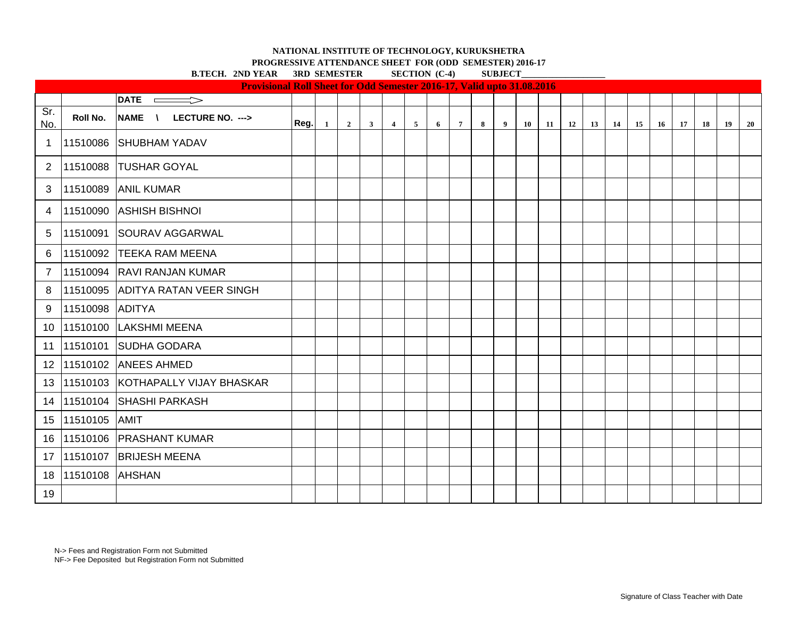**PROGRESSIVE ATTENDANCE SHEET FOR (ODD SEMESTER) 2016-17**

|                 |          | <b>B.TECH. 2ND YEAR 3RD SEMESTER</b>                                          |      |              |                         |              |                | <b>SECTION</b> (C-4) |   |                 |   | <b>SUBJECT</b> |    |    |    |    |    |    |    |    |    |    |    |
|-----------------|----------|-------------------------------------------------------------------------------|------|--------------|-------------------------|--------------|----------------|----------------------|---|-----------------|---|----------------|----|----|----|----|----|----|----|----|----|----|----|
|                 |          | <b>Provisional Roll Sheet for Odd Semester 2016-17, Valid upto 31.08.2016</b> |      |              |                         |              |                |                      |   |                 |   |                |    |    |    |    |    |    |    |    |    |    |    |
|                 |          | DATE $\implies$                                                               |      |              |                         |              |                |                      |   |                 |   |                |    |    |    |    |    |    |    |    |    |    |    |
| Sr.<br>No.      | Roll No. | NAME \<br>LECTURE NO. --->                                                    | Reg. | $\mathbf{1}$ | $\overline{\mathbf{2}}$ | $\mathbf{3}$ | $\overline{4}$ | 5 <sup>5</sup>       | 6 | $7\overline{ }$ | 8 | 9 <sup>1</sup> | 10 | 11 | 12 | 13 | 14 | 15 | 16 | 17 | 18 | 19 | 20 |
| $\mathbf{1}$    |          | 11510086 SHUBHAM YADAV                                                        |      |              |                         |              |                |                      |   |                 |   |                |    |    |    |    |    |    |    |    |    |    |    |
| $\overline{2}$  |          | 11510088 TUSHAR GOYAL                                                         |      |              |                         |              |                |                      |   |                 |   |                |    |    |    |    |    |    |    |    |    |    |    |
| 3               | 11510089 | <b>ANIL KUMAR</b>                                                             |      |              |                         |              |                |                      |   |                 |   |                |    |    |    |    |    |    |    |    |    |    |    |
| 4               |          | 11510090 ASHISH BISHNOI                                                       |      |              |                         |              |                |                      |   |                 |   |                |    |    |    |    |    |    |    |    |    |    |    |
| 5               | 11510091 | <b>SOURAV AGGARWAL</b>                                                        |      |              |                         |              |                |                      |   |                 |   |                |    |    |    |    |    |    |    |    |    |    |    |
| 6               |          | 11510092 TEEKA RAM MEENA                                                      |      |              |                         |              |                |                      |   |                 |   |                |    |    |    |    |    |    |    |    |    |    |    |
| $\overline{7}$  |          | 11510094 RAVI RANJAN KUMAR                                                    |      |              |                         |              |                |                      |   |                 |   |                |    |    |    |    |    |    |    |    |    |    |    |
| 8               | 11510095 | <b>ADITYA RATAN VEER SINGH</b>                                                |      |              |                         |              |                |                      |   |                 |   |                |    |    |    |    |    |    |    |    |    |    |    |
| 9               | 11510098 | <b>ADITYA</b>                                                                 |      |              |                         |              |                |                      |   |                 |   |                |    |    |    |    |    |    |    |    |    |    |    |
| 10              |          | 11510100 LAKSHMI MEENA                                                        |      |              |                         |              |                |                      |   |                 |   |                |    |    |    |    |    |    |    |    |    |    |    |
| 11              |          | 11510101 SUDHA GODARA                                                         |      |              |                         |              |                |                      |   |                 |   |                |    |    |    |    |    |    |    |    |    |    |    |
| 12 <sup>°</sup> |          | 11510102 ANEES AHMED                                                          |      |              |                         |              |                |                      |   |                 |   |                |    |    |    |    |    |    |    |    |    |    |    |
|                 |          | 13 11510103 KOTHAPALLY VIJAY BHASKAR                                          |      |              |                         |              |                |                      |   |                 |   |                |    |    |    |    |    |    |    |    |    |    |    |
| 14              |          | 11510104 SHASHI PARKASH                                                       |      |              |                         |              |                |                      |   |                 |   |                |    |    |    |    |    |    |    |    |    |    |    |
| 15              | 11510105 | <b>AMIT</b>                                                                   |      |              |                         |              |                |                      |   |                 |   |                |    |    |    |    |    |    |    |    |    |    |    |
|                 |          | 16   11510106   PRASHANT KUMAR                                                |      |              |                         |              |                |                      |   |                 |   |                |    |    |    |    |    |    |    |    |    |    |    |
|                 |          | 17   11510107   BRIJESH MEENA                                                 |      |              |                         |              |                |                      |   |                 |   |                |    |    |    |    |    |    |    |    |    |    |    |
| 18              | 11510108 | <b>AHSHAN</b>                                                                 |      |              |                         |              |                |                      |   |                 |   |                |    |    |    |    |    |    |    |    |    |    |    |
| 19              |          |                                                                               |      |              |                         |              |                |                      |   |                 |   |                |    |    |    |    |    |    |    |    |    |    |    |

N-> Fees and Registration Form not Submitted NF-> Fee Deposited but Registration Form not Submitted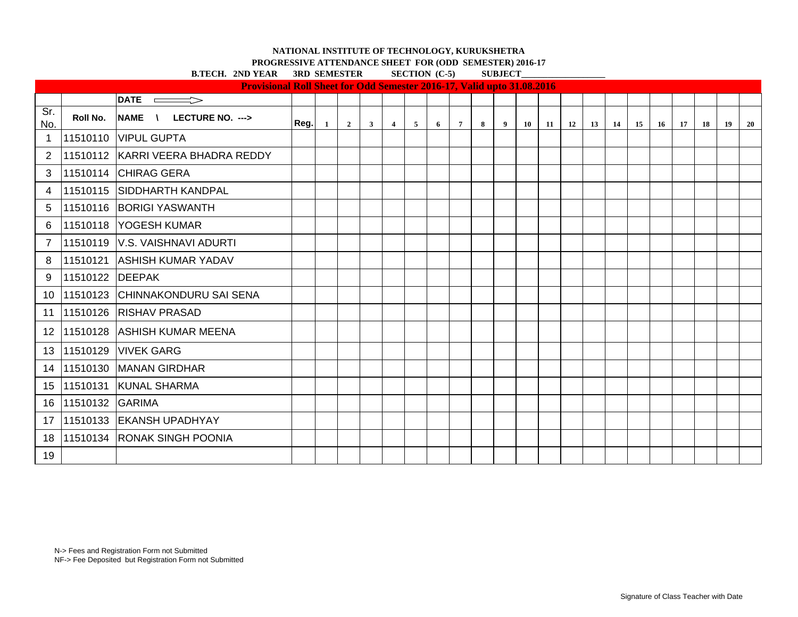|                 |                 | <b>B.TECH. 2ND YEAR 3RD SEMESTER</b>                                          |      |              |                         |              |                |                | $SECTION (C-5)$ |                 |   | <b>SUBJECT</b> |    |    |    |    |    |    |    |    |    |    |           |
|-----------------|-----------------|-------------------------------------------------------------------------------|------|--------------|-------------------------|--------------|----------------|----------------|-----------------|-----------------|---|----------------|----|----|----|----|----|----|----|----|----|----|-----------|
|                 |                 | <b>Provisional Roll Sheet for Odd Semester 2016-17, Valid upto 31.08.2016</b> |      |              |                         |              |                |                |                 |                 |   |                |    |    |    |    |    |    |    |    |    |    |           |
|                 |                 | $\mathsf{DATE}$ $\longrightarrow$                                             |      |              |                         |              |                |                |                 |                 |   |                |    |    |    |    |    |    |    |    |    |    |           |
| Sr.<br>No.      | Roll No.        | <b>INAME \ LECTURE NO. ---&gt;</b>                                            | Reg. | $\mathbf{1}$ | $\overline{\mathbf{2}}$ | $\mathbf{3}$ | $\overline{4}$ | 5 <sup>5</sup> | 6 <sup>1</sup>  | $7\overline{ }$ | 8 | 9              | 10 | 11 | 12 | 13 | 14 | 15 | 16 | 17 | 18 | 19 | <b>20</b> |
|                 |                 | 11510110 VIPUL GUPTA                                                          |      |              |                         |              |                |                |                 |                 |   |                |    |    |    |    |    |    |    |    |    |    |           |
| 2               |                 | 11510112 KARRI VEERA BHADRA REDDY                                             |      |              |                         |              |                |                |                 |                 |   |                |    |    |    |    |    |    |    |    |    |    |           |
| 3               |                 | 11510114 CHIRAG GERA                                                          |      |              |                         |              |                |                |                 |                 |   |                |    |    |    |    |    |    |    |    |    |    |           |
| 4               |                 | 11510115 SIDDHARTH KANDPAL                                                    |      |              |                         |              |                |                |                 |                 |   |                |    |    |    |    |    |    |    |    |    |    |           |
| 5               |                 | 11510116 BORIGI YASWANTH                                                      |      |              |                         |              |                |                |                 |                 |   |                |    |    |    |    |    |    |    |    |    |    |           |
| 6               |                 | 11510118 YOGESH KUMAR                                                         |      |              |                         |              |                |                |                 |                 |   |                |    |    |    |    |    |    |    |    |    |    |           |
| 7               |                 | 11510119 V.S. VAISHNAVI ADURTI                                                |      |              |                         |              |                |                |                 |                 |   |                |    |    |    |    |    |    |    |    |    |    |           |
| 8               |                 | 11510121 ASHISH KUMAR YADAV                                                   |      |              |                         |              |                |                |                 |                 |   |                |    |    |    |    |    |    |    |    |    |    |           |
| 9               | 11510122 DEEPAK |                                                                               |      |              |                         |              |                |                |                 |                 |   |                |    |    |    |    |    |    |    |    |    |    |           |
| 10              |                 | 11510123 CHINNAKONDURU SAI SENA                                               |      |              |                         |              |                |                |                 |                 |   |                |    |    |    |    |    |    |    |    |    |    |           |
| 11              |                 | 11510126 RISHAV PRASAD                                                        |      |              |                         |              |                |                |                 |                 |   |                |    |    |    |    |    |    |    |    |    |    |           |
| 12 <sup>1</sup> |                 | 11510128 ASHISH KUMAR MEENA                                                   |      |              |                         |              |                |                |                 |                 |   |                |    |    |    |    |    |    |    |    |    |    |           |
| 13              |                 | 11510129 VIVEK GARG                                                           |      |              |                         |              |                |                |                 |                 |   |                |    |    |    |    |    |    |    |    |    |    |           |
| 14              |                 | 11510130 MANAN GIRDHAR                                                        |      |              |                         |              |                |                |                 |                 |   |                |    |    |    |    |    |    |    |    |    |    |           |
| 15              |                 | 11510131 KUNAL SHARMA                                                         |      |              |                         |              |                |                |                 |                 |   |                |    |    |    |    |    |    |    |    |    |    |           |
| 16              | 11510132 GARIMA |                                                                               |      |              |                         |              |                |                |                 |                 |   |                |    |    |    |    |    |    |    |    |    |    |           |
| 17              |                 | 11510133 EKANSH UPADHYAY                                                      |      |              |                         |              |                |                |                 |                 |   |                |    |    |    |    |    |    |    |    |    |    |           |
| 18              |                 | 111510134 RONAK SINGH POONIA                                                  |      |              |                         |              |                |                |                 |                 |   |                |    |    |    |    |    |    |    |    |    |    |           |
| 19              |                 |                                                                               |      |              |                         |              |                |                |                 |                 |   |                |    |    |    |    |    |    |    |    |    |    |           |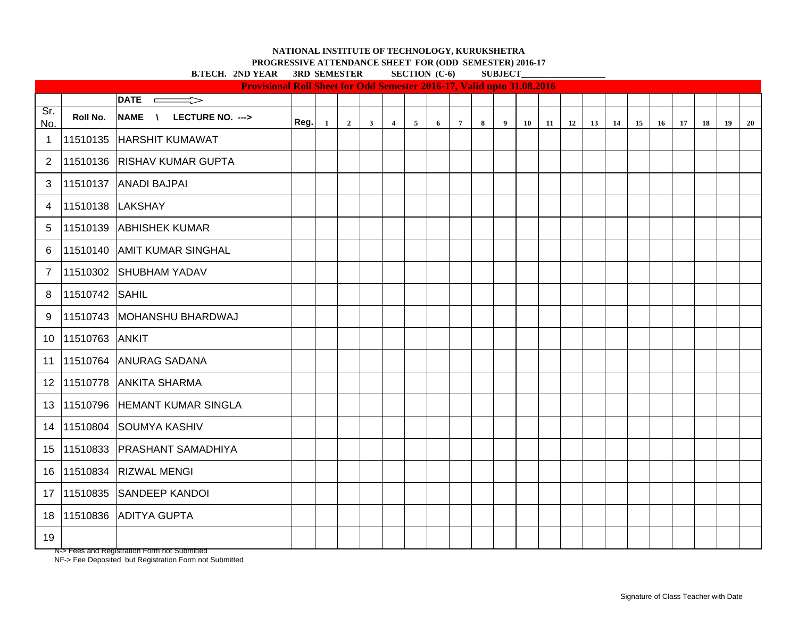#### **NATIONAL INSTITUTE OF TECHNOLOGY, KURUKSHETRA PROGRESSIVE ATTENDANCE SHEET FOR (ODD SEMESTER) 2016-17**

**DATE**  Sr. NO. | ROII NO. |NAME \ LECTURE NO. ---> | Reg.| 1 | 2 | 3 | 4 | 5 | 6 | 7 | 8 | 9 | 10 | 11 | 12 | 13 | 14 | 15 | 16 | 17 | 18 | 19 | 20 1 11510135 HARSHIT KUMAWAT2 11510136 RISHAV KUMAR GUPTA3 11510137 ANADI BAJPAI 4 11510138 LAKSHAY5 | 11510139 | ABHISHEK KUMAR 6 11510140 AMIT KUMAR SINGHAL 7 11510302 SHUBHAM YADAV8 | 11510742 SAHIL 9 11510743 MOHANSHU BHARDWAJ10 11510763 ANKIT11 11510764 ANURAG SADANA12 |11510778 |ANKITA SHARMA 13 11510796 HEMANT KUMAR SINGLA 14 11510804 SOUMYA KASHIV15 11510833 PRASHANT SAMADHIYA16 11510834 RIZWAL MENGI17 11510835 SANDEEP KANDOL 18 11510836 ADITYA GUPTA19**Provisional Roll Sheet for Odd Semester 2016-17, Valid upto 31.08.2016 B.TECH. 2ND YEAR 3RD SEMESTER SECTION (C-6) SUBJECT\_** 

N-> Fees and Registration Form not Submitted

NF-> Fee Deposited but Registration Form not Submitted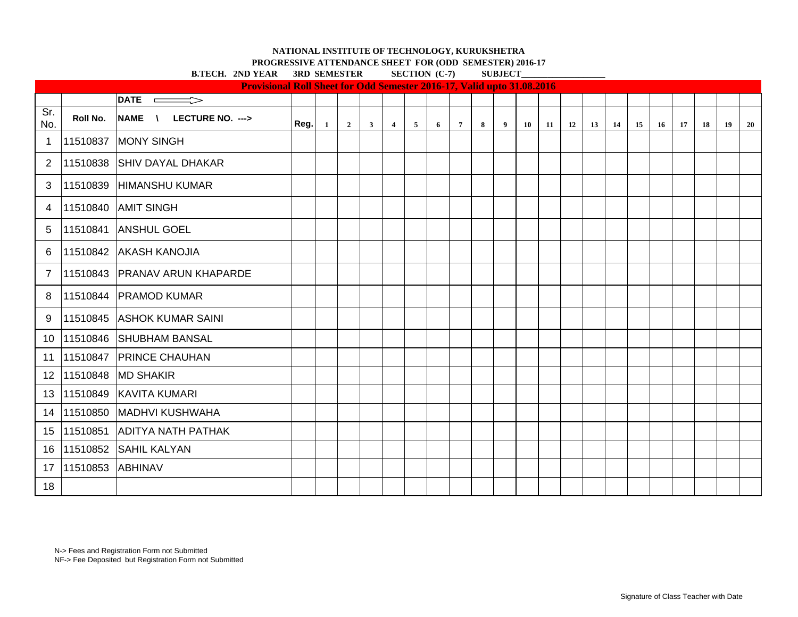|                 |          | <b>B.TECH. 2ND YEAR 3RD SEMESTER</b>                                          |      |              |                |              |                |   | <b>SECTION</b> (C-7) |                |   | <b>SUBJECT</b> |                 |    |    |    |    |    |    |    |    |    |           |
|-----------------|----------|-------------------------------------------------------------------------------|------|--------------|----------------|--------------|----------------|---|----------------------|----------------|---|----------------|-----------------|----|----|----|----|----|----|----|----|----|-----------|
|                 |          | <b>Provisional Roll Sheet for Odd Semester 2016-17, Valid upto 31.08.2016</b> |      |              |                |              |                |   |                      |                |   |                |                 |    |    |    |    |    |    |    |    |    |           |
|                 |          | DATE =<br>$\Rightarrow$                                                       |      |              |                |              |                |   |                      |                |   |                |                 |    |    |    |    |    |    |    |    |    |           |
| Sr.<br>No.      | Roll No. | NAME \<br>LECTURE NO. --->                                                    | Reg. | $\mathbf{1}$ | $\overline{2}$ | $\mathbf{3}$ | $\overline{4}$ | 5 | 6                    | $\overline{7}$ | 8 | 9 <sup>°</sup> | 10 <sup>°</sup> | 11 | 12 | 13 | 14 | 15 | 16 | 17 | 18 | 19 | <b>20</b> |
| $\mathbf{1}$    |          | 11510837 MONY SINGH                                                           |      |              |                |              |                |   |                      |                |   |                |                 |    |    |    |    |    |    |    |    |    |           |
| $\overline{2}$  |          | 11510838 SHIV DAYAL DHAKAR                                                    |      |              |                |              |                |   |                      |                |   |                |                 |    |    |    |    |    |    |    |    |    |           |
| 3               |          | 11510839 HIMANSHU KUMAR                                                       |      |              |                |              |                |   |                      |                |   |                |                 |    |    |    |    |    |    |    |    |    |           |
| 4               |          | 11510840 AMIT SINGH                                                           |      |              |                |              |                |   |                      |                |   |                |                 |    |    |    |    |    |    |    |    |    |           |
| 5               | 11510841 | <b>ANSHUL GOEL</b>                                                            |      |              |                |              |                |   |                      |                |   |                |                 |    |    |    |    |    |    |    |    |    |           |
| 6               |          | 11510842 AKASH KANOJIA                                                        |      |              |                |              |                |   |                      |                |   |                |                 |    |    |    |    |    |    |    |    |    |           |
| 7               |          | 11510843 PRANAV ARUN KHAPARDE                                                 |      |              |                |              |                |   |                      |                |   |                |                 |    |    |    |    |    |    |    |    |    |           |
| 8               |          | 11510844 PRAMOD KUMAR                                                         |      |              |                |              |                |   |                      |                |   |                |                 |    |    |    |    |    |    |    |    |    |           |
| 9               |          | 11510845 ASHOK KUMAR SAINI                                                    |      |              |                |              |                |   |                      |                |   |                |                 |    |    |    |    |    |    |    |    |    |           |
|                 |          | 10   11510846   SHUBHAM BANSAL                                                |      |              |                |              |                |   |                      |                |   |                |                 |    |    |    |    |    |    |    |    |    |           |
| 11              |          | 11510847 PRINCE CHAUHAN                                                       |      |              |                |              |                |   |                      |                |   |                |                 |    |    |    |    |    |    |    |    |    |           |
| 12 <sup>2</sup> |          | 11510848 MD SHAKIR                                                            |      |              |                |              |                |   |                      |                |   |                |                 |    |    |    |    |    |    |    |    |    |           |
|                 |          | 13   11510849   KAVITA KUMARI                                                 |      |              |                |              |                |   |                      |                |   |                |                 |    |    |    |    |    |    |    |    |    |           |
|                 |          | 14 11510850 MADHVI KUSHWAHA                                                   |      |              |                |              |                |   |                      |                |   |                |                 |    |    |    |    |    |    |    |    |    |           |
| 15 <sub>1</sub> | 11510851 | <b>ADITYA NATH PATHAK</b>                                                     |      |              |                |              |                |   |                      |                |   |                |                 |    |    |    |    |    |    |    |    |    |           |
| 16              | 11510852 | <b>SAHIL KALYAN</b>                                                           |      |              |                |              |                |   |                      |                |   |                |                 |    |    |    |    |    |    |    |    |    |           |
| 17              | 11510853 | ABHINAV                                                                       |      |              |                |              |                |   |                      |                |   |                |                 |    |    |    |    |    |    |    |    |    |           |
| 18              |          |                                                                               |      |              |                |              |                |   |                      |                |   |                |                 |    |    |    |    |    |    |    |    |    |           |